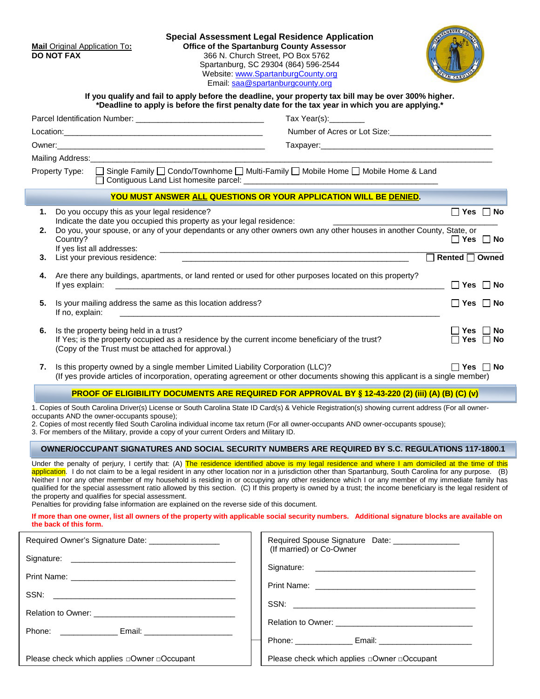**Special Assessment Legal Residence Application Mail** Original Application To**: Office of the Spartanburg County Assessor DO NOT FAX** 366 N. Church Street, PO Box 5762 Spartanburg, SC 29304 (864) 596-2544 Website: [www.SpartanburgCounty.org](http://www.spartanburgcounty.org/)



**If you qualify and fail to apply before the deadline, your property tax bill may be over 300% higher. \*Deadline to apply is before the first penalty date for the tax year in which you are applying.\*** 

Email: [saa@spartanburgcounty.org](mailto:saa@spartanburgcounty.org)

| Parcel Identification Number: | Tax Year(s):                 |
|-------------------------------|------------------------------|
| Location:                     | Number of Acres or Lot Size: |
| Owner:                        | Taxpayer:                    |
| .                             |                              |

Mailing Address:

í

Property Type:  $\Box$  Single Family  $\Box$  Condo/Townhome  $\Box$  Multi-Family  $\Box$  Mobile Home  $\Box$  Mobile Home & Land  $\Box$  Contiguous Land List homesite parcel:

## **1.** Do you occupy this as your legal residence? **Yes No Yes** No Indicate the date you occupied this property as your legal residence: **2.** Do you, your spouse, or any of your dependants or any other owners own any other houses in another County, State, or Country? **Yes No** If yes list all addresses: \_\_\_\_\_\_\_\_\_\_\_\_\_\_\_\_\_\_\_\_\_\_\_\_\_\_\_\_\_\_\_\_\_\_\_\_\_\_\_\_\_\_\_\_\_\_\_\_\_\_\_\_\_\_\_\_\_\_\_\_\_\_\_\_\_\_\_\_\_\_\_\_\_\_\_\_\_ **3.** List your previous residence: **4.** Are there any buildings, apartments, or land rented or used for other purposes located on this property? If yes explain: \_\_\_\_\_\_\_\_\_\_\_\_\_\_\_\_\_\_\_\_\_\_\_\_\_\_\_\_\_\_\_\_\_\_\_\_\_\_\_\_\_\_\_\_\_\_\_\_\_\_\_\_\_\_\_\_\_\_\_\_\_\_\_\_\_\_\_\_\_\_\_\_\_\_ **Yes No 5.** Is your mailing address the same as this location address?  $\Box$  Yes  $\Box$  Yes  $\Box$  No If no, explain: \_\_\_\_\_\_\_\_\_\_\_\_\_\_\_\_\_\_\_\_\_\_\_\_\_\_\_\_\_\_\_\_\_\_\_\_\_\_\_\_\_\_\_\_\_\_\_\_\_\_\_\_\_\_\_\_\_\_\_\_\_\_\_\_\_\_\_\_\_\_\_\_ **6.** Is the property being held in a trust?<br>If Yes: is the property occupied as a residence by the current income beneficiary of the trust? <br>**No** T Yes no If Yes; is the property occupied as a residence by the current income beneficiary of the trust? (Copy of the Trust must be attached for approval.) **7.** Is this property owned by a single member Limited Liability Corporation (LLC)? **Yes No YOU MUST ANSWER ALL QUESTIONS OR YOUR APPLICATION WILL BE DENIED.**

(If yes provide articles of incorporation, operating agreement or other documents showing this applicant is a single member)

## **PROOF OF ELIGIBILITY DOCUMENTS ARE REQUIRED FOR APPROVAL BY § 12-43-220 (2) (iii) (A) (B) (C) (v)**

1. Copies of South Carolina Driver(s) License or South Carolina State ID Card(s) & Vehicle Registration(s) showing current address (For all owneroccupants AND the owner-occupants spouse);

2. Copies of most recently filed South Carolina individual income tax return (For all owner-occupants AND owner-occupants spouse);

3. For members of the Military, provide a copy of your current Orders and Military ID.

## **OWNER/OCCUPANT SIGNATURES AND SOCIAL SECURITY NUMBERS ARE REQUIRED BY S.C. REGULATIONS 117-1800.1**

Under the penalty of perjury, I certify that: (A) The residence identified above is my legal residence and where I am domiciled at the time of this application. I do not claim to be a legal resident in any other location nor in a jurisdiction other than Spartanburg, South Carolina for any purpose. (B) Neither I nor any other member of my household is residing in or occupying any other residence which I or any member of my immediate family has qualified for the special assessment ratio allowed by this section. (C) If this property is owned by a trust; the income beneficiary is the legal resident of the property and qualifies for special assessment.

Penalties for providing false information are explained on the reverse side of this document.

**If more than one owner, list all owners of the property with applicable social security numbers. Additional signature blocks are available on the back of this form.** 

| Required Owner's Signature Date: __________________ | Required Spouse Signature Date: _________________<br>(If married) or Co-Owner |
|-----------------------------------------------------|-------------------------------------------------------------------------------|
|                                                     |                                                                               |
|                                                     |                                                                               |
|                                                     |                                                                               |
|                                                     |                                                                               |
|                                                     |                                                                               |
|                                                     | Phone: Email: Email:                                                          |
| Please check which applies □ Owner □ Occupant       | Please check which applies □ Owner □ Occupant                                 |